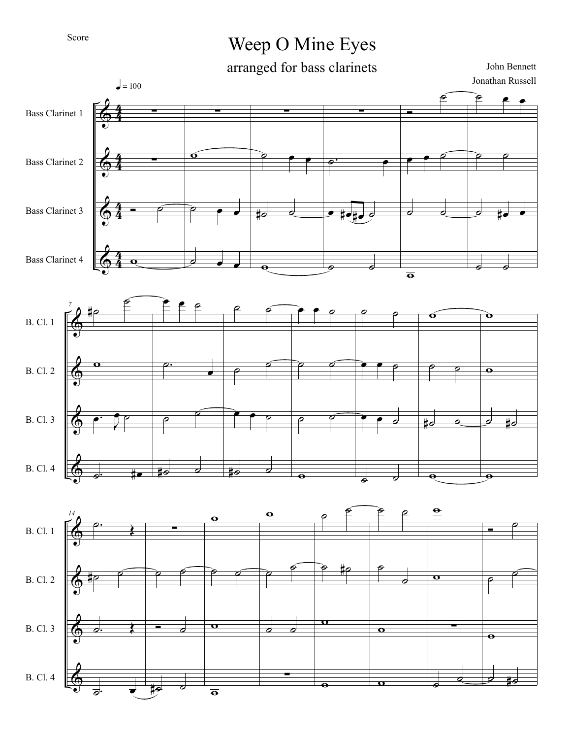## Score

## Weep O Mine Eyes

arranged for bass clarinets

John Bennett Jonathan Russell